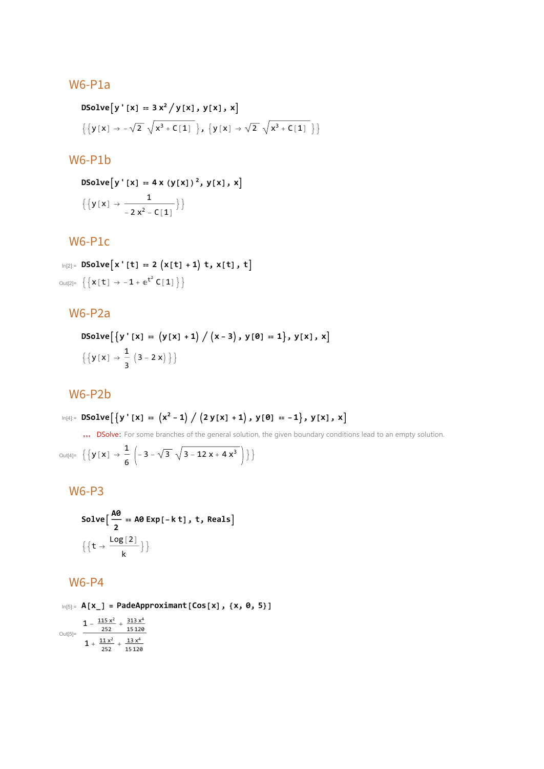### W6-P1a

DSolve [y' [x] == 3 x<sup>2</sup> / y[x], y[x], x]  
{
$$
\{y[x] → -\sqrt{2} \sqrt{x^3 + C[1]}\}, \{y[x] → \sqrt{2} \sqrt{x^3 + C[1]}\}\}
$$

#### W6-P1b

DSolve [y' [x] = 4 x (y[x])<sup>2</sup>, y[x], x]  
{
$$
\{y[x] \rightarrow \frac{1}{-2x^2 - C[1]}\}
$$
}

### W6-P1c

In[2]:= **DSolvex'[t] ⩵ 2 x[t] + 1 t, x[t], t**  $\text{Out[2]} = \left\{ \left\{ \mathbf{x} \left[ t \right] \rightarrow -\mathbf{1} + \mathbf{e}^{t^2} \mathbf{C} \left[ \mathbf{1} \right] \right\} \right\}$ 

## W6-P2a

DSolve 
$$
[\{y'[x] = (y[x]+1) / (x-3), y[0] = 1\}, y[x], x]
$$
  
 $\{[y[x] \rightarrow \frac{1}{3} (3-2x)]\}$ 

### W6-P2b

$$
\text{In}[\mathbb{A}]:=\text{D}Solve\Big[\left\{\boldsymbol{y}\text{ }^\text{T}\left[\boldsymbol{x}\right]\text{ }=\text{ } \left(\boldsymbol{x}^2-1\right)\text{ }/\text{ } \left(\text{2}\text{ } \boldsymbol{y}\left[\boldsymbol{x}\right]\text{ }+\text{1}\right),\text{ } \boldsymbol{y}\left[\boldsymbol{\vartheta}\right]\text{ }=-\text{ }1\Big\},\text{ } \boldsymbol{y}\left[\boldsymbol{x}\right]\text{, }\boldsymbol{x}\Big]
$$

DSolve: For some branches of the general solution, the given boundary conditions lead to an empty solution.

Out[4]=  $\left\{ \left\{ y\left[\,x\,\right]\, \, \rightarrow \, \frac{1}{6} \, \left(\, -\, 3 \, - \, \sqrt{3} \, \, \sqrt{3 - 12 \, x + 4 \, x^3}\, \right) \,\right\} \right\}$ 

# W6-P3

Solve 
$$
\left[\frac{A\theta}{2} = A\theta \exp[-k t], t, \text{Reals}\right]
$$
  
 $\left\{\left\{t \to \frac{\log[2]}{k}\right\}\right\}$ 

### W6-P4

In[5]:= **A[x\_] = PadeApproximant[Cos[x], {x, 0, 5}]** Out[5]=  $1 - \frac{115 x^2}{252} + \frac{313 x^4}{15120}$  $1 + \frac{11 x^2}{252} + \frac{13 x^4}{15120}$